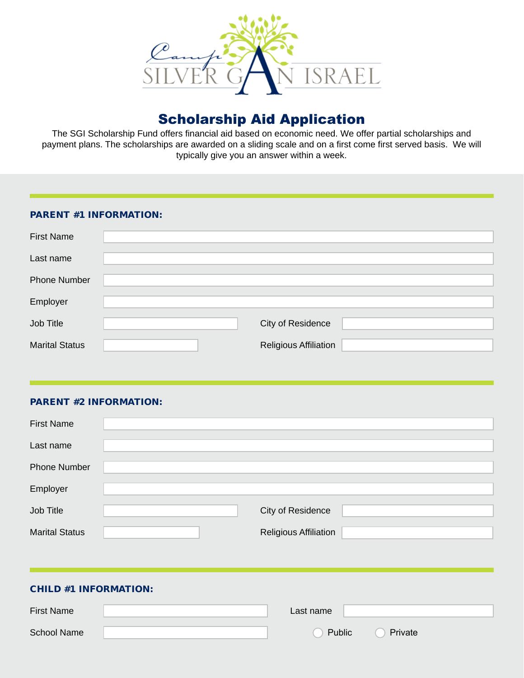

# Scholarship Aid Application

The SGI Scholarship Fund offers financial aid based on economic need. We offer partial scholarships and payment plans. The scholarships are awarded on a sliding scale and on a first come first served basis. We will typically give you an answer within a week.

#### PARENT #1 INFORMATION:

| <b>First Name</b>     |                              |  |
|-----------------------|------------------------------|--|
| Last name             |                              |  |
| <b>Phone Number</b>   |                              |  |
| Employer              |                              |  |
| Job Title             | City of Residence            |  |
| <b>Marital Status</b> | <b>Religious Affiliation</b> |  |

#### PARENT #2 INFORMATION:

| <b>First Name</b>     |                              |  |
|-----------------------|------------------------------|--|
| Last name             |                              |  |
| <b>Phone Number</b>   |                              |  |
| Employer              |                              |  |
| Job Title             | City of Residence            |  |
| <b>Marital Status</b> | <b>Religious Affiliation</b> |  |
|                       |                              |  |
|                       |                              |  |

# CHILD #1 INFORMATION:

| <b>First Name</b>  | Last name |         |  |
|--------------------|-----------|---------|--|
| <b>School Name</b> | Public    | Private |  |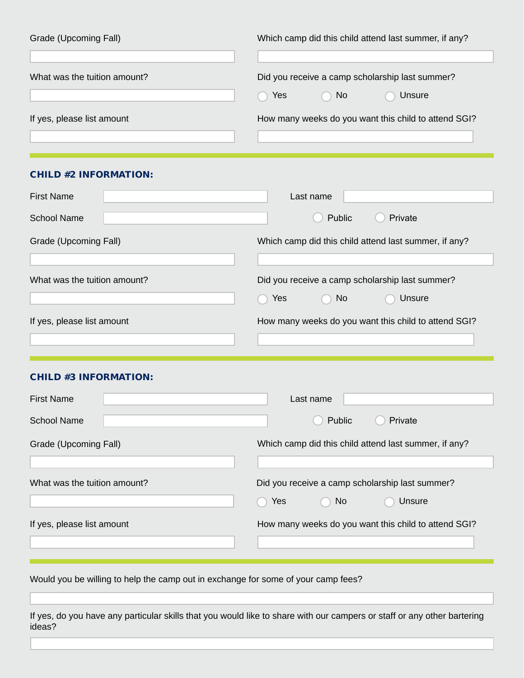| Grade (Upcoming Fall)        | Which camp did this child attend last summer, if any?                   |
|------------------------------|-------------------------------------------------------------------------|
| What was the tuition amount? | Did you receive a camp scholarship last summer?<br>Yes<br>Unsure<br>No. |
| If yes, please list amount   | How many weeks do you want this child to attend SGI?                    |
| <b>CHILD #2 INFORMATION:</b> |                                                                         |

| <b>First Name</b>            | Last name                                             |
|------------------------------|-------------------------------------------------------|
| <b>School Name</b>           | Public<br>Private                                     |
| Grade (Upcoming Fall)        | Which camp did this child attend last summer, if any? |
|                              |                                                       |
| What was the tuition amount? | Did you receive a camp scholarship last summer?       |
|                              | Yes<br>Unsure<br>No.                                  |
| If yes, please list amount   | How many weeks do you want this child to attend SGI?  |
|                              |                                                       |

## CHILD #3 INFORMATION:

| <b>First Name</b>            | Last name                                             |
|------------------------------|-------------------------------------------------------|
| <b>School Name</b>           | Private<br>Public                                     |
| Grade (Upcoming Fall)        | Which camp did this child attend last summer, if any? |
|                              |                                                       |
| What was the tuition amount? | Did you receive a camp scholarship last summer?       |
|                              | Yes<br>Unsure<br>No.                                  |
| If yes, please list amount   | How many weeks do you want this child to attend SGI?  |
|                              |                                                       |

Would you be willing to help the camp out in exchange for some of your camp fees?

If yes, do you have any particular skills that you would like to share with our campers or staff or any other bartering ideas?